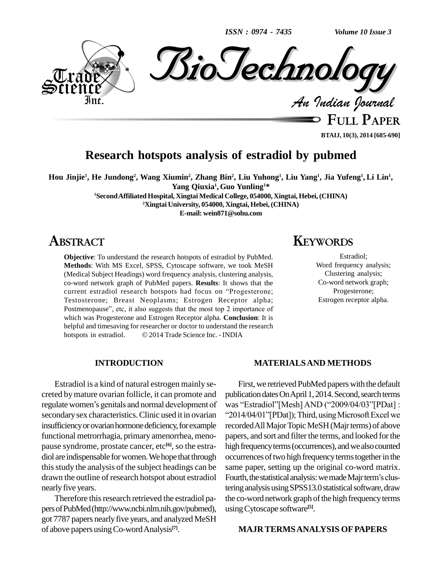*ISSN : 0974 - 7435*

*Volume 10 Issue 3*



**FULL PAPER**

**BTAIJ, 10(3), 2014 [685-690]**

## **Research hotspots analysis of estradiol by pubmed**

Hou Jinjie<sup>1</sup>, He Jundong<sup>2</sup>, Wang Xiumin<sup>2</sup>, Zhang Bin<sup>2</sup>, Liu Yuhong<sup>1</sup>, Liu Yang<sup>1</sup>, Jia Yufeng<sup>1</sup>, Li Lin<sup>1</sup>, **1** $\text{Yang Quxia}^1, \text{Guo Yunling}^{1*}$ 

**<sup>1</sup>SecondAffiliated Hospital, Xingtai Medical College, 054000, Xingtai, Hebei, (CHINA)**

**<sup>2</sup>Xingtai University, 054000, Xingtai, Hebei,(CHINA)**

**E-mail: [wein871@sohu.com](mailto:wein871@sohu.com)**

## **ABSTRACT**

**Objective**: To understand the research hotspots of estradiol by PubMed. **Methods**: With MS Excel, SPSS, Cytoscape software, we took MeSH (Medical Subject Headings) word frequency analysis, clustering analysis, co-word network graph of PubMed papers. **Results**: It shows that the (Medical Subject Headings) word frequency analysis, clustering analysis, co-word network graph of PubMed papers. Results: It shows that the current estradiol research hotspots had focus on "Progesterone; Testosterone; Breast Neoplasms; Estrogen Receptor alpha; current estradiol research hotspots had focus on "Progesterone;<br>Testosterone; Breast Neoplasms; Estrogen Receptor alpha;<br>Postmenopause", etc, it also suggests that the most top 2 importance of which was Progesterone and Estrogen Receptor alpha. **Conclusion**: It is hotspots in estradiol. <sup>2014</sup> Trade Science Inc. - INDIA helpful and timesaving for researcher or doctor to understand the research

### **INTRODUCTION**

Estradiol is a kind of natural estrogen mainly se creted bymature ovarian follicle, it can promote and regulate women's genitals and normal development of secondary sex characteristics. Clinic used it in ovarian "2014/04/01"[PDat]); Third, using Microsoft Excel we insufficiency or ovarian hormone deficiency, for example functional metrorrhagia, primary amenorrhea, meno pause syndrome, prostate cancer, etc **[6]**, so the estra diol are indispensable for women. We hope that through thisstudy the analysis of the subject headings can be drawn the outline of research hotspot about estradiol Fourth, the statistical analysis: we made Majr term's clusnearly five years.

Therefore this research retrieved the estradiol papersofPubMed(http://www.ncbi.nlm.nih.gov/pubmed), got 7787 papers nearly five years, and analyzed MeSH of above papers usingCo-wordAnalysis **[7]**.

## **KEYWORDS**

Estradiol; Word frequency analysis; Clustering analysis; Co-word network graph; Progesterone; Estrogen receptor alpha.

### **MATERIALSAND METHODS**

First, we retrieved PubMed papers with the default publication dates On April 1, 2014. Second, search terms First, we retrieved PubMed papers with the default<br>publication dates On April 1, 2014. Second, search terms<br>was "Estradiol"[Mesh] AND ("2009/04/03"[PDat] : 2014. Second, search terms<br>D (''2009/04/03''[PDat] :<br>using Microsoft Excel we recorded All Major Topic MeSH (Majr terms) of above papers, and sort and filter the terms, and looked for the high frequency terms (occurrences), and we also counted occurrences of two high frequency terms together in the<br>same paper, setting up the original co-word matrix.<br>Fourth, the statistical analysis: we made Majr term's clussame paper, setting up the original co-word matrix. tering analysis using SPSS13.0 statistical software, draw the co-word network graph of the high frequency terms usingCytoscape software **[5]**.

## **MAJR TERMSANALYSIS OFPAPERS**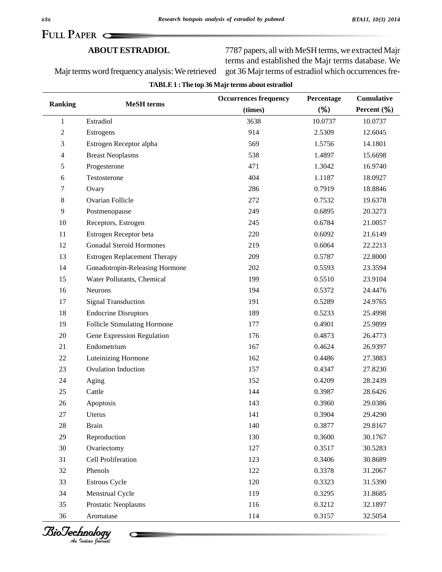**TABLE1 :The top 36 Majr terms about estradiol**

**FULL PAPER**

### **ABOUTESTRADIOL**

Majrterms word frequencyanalysis:We retrieved

 papers, all with MeSH terms, we extracted Majr terms and established the Majr terms database. We got 36 Majr terms of estradiol which occurrences fre-

|                |                                     | <b>Occurrences frequency</b> | Percentage<br>$(\% )$ | <b>Cumulative</b><br>Percent $(\% )$ |
|----------------|-------------------------------------|------------------------------|-----------------------|--------------------------------------|
| <b>Ranking</b> | <b>MeSH</b> terms                   | (times)                      |                       |                                      |
| $\mathbf{1}$   | Estradiol                           | 3638                         | 10.0737               | 10.0737                              |
| 2              | Estrogens                           | 914                          | 2.5309                | 12.6045                              |
| 3              | Estrogen Receptor alpha             | 569                          | 1.5756                | 14.1801                              |
| 4              | <b>Breast Neoplasms</b>             | 538                          | 1.4897                | 15.6698                              |
| 5              | Progesterone                        | 471                          | 1.3042                | 16.9740                              |
| 6              | Testosterone                        | 404                          | 1.1187                | 18.0927                              |
| 7              | Ovary                               | 286                          | 0.7919                | 18.8846                              |
| $8\,$          | Ovarian Follicle                    | 272                          | 0.7532                | 19.6378                              |
| 9              | Postmenopause                       | 249                          | 0.6895                | 20.3273                              |
| 10             | Receptors, Estrogen                 | 245                          | 0.6784                | 21.0057                              |
| 11             | Estrogen Receptor beta              | 220                          | 0.6092                | 21.6149                              |
| 12             | <b>Gonadal Steroid Hormones</b>     | 219                          | 0.6064                | 22.2213                              |
| 13             | <b>Estrogen Replacement Therapy</b> | 209                          | 0.5787                | 22.8000                              |
| 14             | Gonadotropin-Releasing Hormone      | 202                          | 0.5593                | 23.3594                              |
| 15             | Water Pollutants, Chemical          | 199                          | 0.5510                | 23.9104                              |
| 16             | <b>Neurons</b>                      | 194                          | 0.5372                | 24.4476                              |
| 17             | <b>Signal Transduction</b>          | 191                          | 0.5289                | 24.9765                              |
| 18             | <b>Endocrine Disruptors</b>         | 189                          | 0.5233                | 25.4998                              |
| 19             | Follicle Stimulating Hormone        | 177                          | 0.4901                | 25.9899                              |
| 20             | Gene Expression Regulation          | 176                          | 0.4873                | 26.4773                              |
| 21             | Endometrium                         | 167                          | 0.4624                | 26.9397                              |
| 22             | Luteinizing Hormone                 | 162                          | 0.4486                | 27.3883                              |
| 23             | <b>Ovulation Induction</b>          | 157                          | 0.4347                | 27.8230                              |
| 24             | Aging                               | 152                          | 0.4209                | 28.2439                              |
| 25             | Cattle                              | 144                          | 0.3987                | 28.6426                              |
| 26             | Apoptosis                           | 143                          | 0.3960                | 29.0386                              |
| 27             | Uterus                              | 141                          | 0.3904                | 29.4290                              |
| 28             | <b>Brain</b>                        | 140                          | 0.3877                | 29.8167                              |
| 29             | Reproduction                        | 130                          | 0.3600                | 30.1767                              |
| 30             | Ovariectomy                         | 127                          | 0.3517                | 30.5283                              |
| 31             | Cell Proliferation                  | 123                          | 0.3406                | 30.8689                              |
| 32             | Phenols                             | 122                          | 0.3378                | 31.2067                              |
| 33             | <b>Estrous Cycle</b>                | 120                          | 0.3323                | 31.5390                              |
| 34             | Menstrual Cycle                     | 119                          | 0.3295                | 31.8685                              |
| 35             | Prostatic Neoplasms                 | 116                          | 0.3212                | 32.1897                              |
| 36             | Aromatase                           | 114                          | 0.3157                | 32.5054                              |





С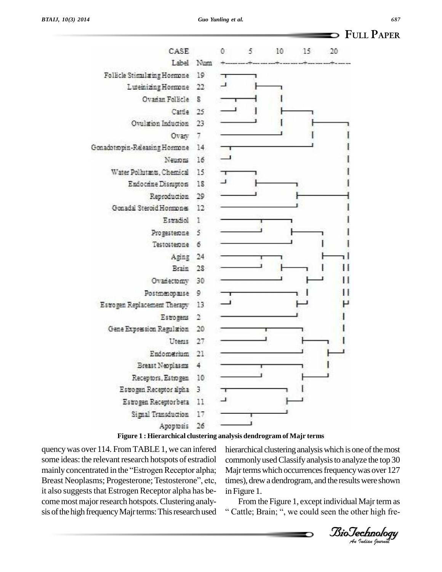



#### **Figure 1 : Hierarchical clustering analysis dendrogram of Majr terms**

quencywas over 114. From TABLE1, we can infered some ideas: the relevant research hotspots of estradiol quency was over 114. From TABLE 1, we can infered his<br>some ideas: the relevant research hotspots of estradiol con<br>mainly concentrated in the "Estrogen Receptor alpha; Ma some ideas: the relevant research hotspots of estradiol comainly concentrated in the "Estrogen Receptor alpha; M<br>Breast Neoplasms; Progesterone; Testosterone", etc, tir it also suggests that Estrogen Receptor alpha has become most major research hotspots. Clustering analysis of the high frequency Majr terms: This research used

hierarchical clustering analysis which is one of the most<br>commonly used Classify analysis to analyze the top 30 times), drew a dendrogram, and the results were shown commonlyusedClassifyanalysisto analyze the top 30 Majr terms which occurrences frequency was over 127 in Figure 1.

*Indian Indian Indian Indian Journal Journal Journal An Indian Spectromal An Indian Spectromal* in Figure 1.<br>From the Figure 1, except individual Majr term as<br>"Cattle: Brain: ", we could seen the other high fre-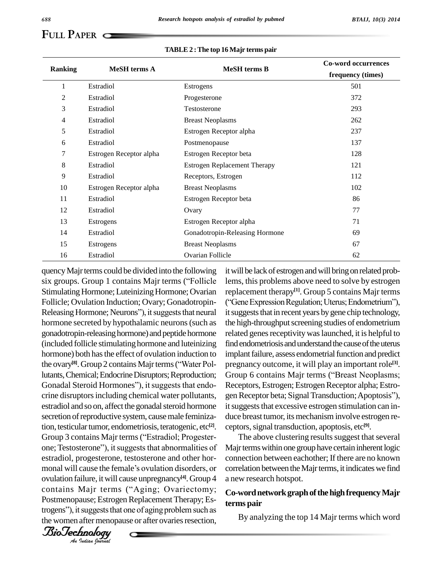# **FULL PAPER**

#### **TABLE2 :The top 16 Majr terms pair**

|                | <b>MeSH</b> terms A     |                                     | <b>Co-word occurrences</b> |
|----------------|-------------------------|-------------------------------------|----------------------------|
| <b>Ranking</b> |                         | <b>MeSH</b> terms B                 | frequency (times)          |
|                | Estradiol               | Estrogens                           | 501                        |
| 2              | Estradiol               | Progesterone                        | 372                        |
| 3              | Estradiol               | Testosterone                        | 293                        |
| 4              | Estradiol               | <b>Breast Neoplasms</b>             | 262                        |
| 5              | Estradiol               | Estrogen Receptor alpha             | 237                        |
| 6              | Estradiol               | Postmenopause                       | 137                        |
| 7              | Estrogen Receptor alpha | Estrogen Receptor beta              | 128                        |
| 8              | Estradiol               | <b>Estrogen Replacement Therapy</b> | 121                        |
| 9              | Estradiol               | Receptors, Estrogen                 | 112                        |
| 10             | Estrogen Receptor alpha | <b>Breast Neoplasms</b>             | 102                        |
| 11             | Estradiol               | Estrogen Receptor beta              | 86                         |
| 12             | Estradiol               | Ovary                               | 77                         |
| 13             | Estrogens               | Estrogen Receptor alpha             | 71                         |
| 14             | Estradiol               | Gonadotropin-Releasing Hormone      | 69                         |
| 15             | Estrogens               | <b>Breast Neoplasms</b>             | 67                         |
| 16             | Estradiol               | Ovarian Follicle                    | 62                         |

one; Testosterone"), it suggests that abnormalities of Maj<br>estradiol, progesterone, testosterone and other hor- con<br>monal will cause the female's ovulation disorders, or corr ovulation failure, it will cause unpregnancy<sup>[4]</sup>. Group 4 a new n *Indian Indian Indian Journal Indian government Indian government Indian government In the quartial government Pur quartial government Pur quartial government***</del> <b>***Pur quartial government Pur* quency Majr terms could be divided into the following it will b Solatan Folice<br>
quency Majr terms could be divided into the following it will<br>
six groups. Group 1 contains Majr terms ("Follicle lems, Stimulating Hormone; Luteinizing Hormone; Ovarian Follicle; Ovulation Induction; Ovary; Gonadotropin- ("Gene Expression Regulation; Uterus; Endometrium"), Releasing Hormone; Neurons"), it suggests that neural hormone secreted by hypothalamic neurons(such as gonadotropin-releasing hormone) and peptide hormone (included follicle stimulatinghormone and luteinizing hormone) both has the effect of ovulation induction to (included follicle stimulating hormone and luteinizing<br>hormone) both has the effect of ovulation induction to<br>the ovary<sup>[8]</sup>. Group 2 contains Majr terms ("Water Pollutants, Chemical; Endocrine Disruptors; Reproduction; the ovary<sup>[8]</sup>. Group 2 contains Majr terms ("Water Pol-<br>lutants, Chemical; Endocrine Disruptors; Reproduction; Gro<br>Gonadal Steroid Hormones"), it suggests that endo- Rec crine disruptors including chemical water pollutants, gen Receptor beta; Signal Transduction; Apoptosis"), estradiol and so on, affect the gonadal steroid hormone it suggests that excessive estrogen stimulation can insecretion of reproductive system, cause male feminization, testicular tumor, endometriosis, teratogenic, etc<sup>[2]</sup>. cep secretion of reproductive system, cause male feminiza-<br>tion, testicular tumor, endometriosis, teratogenic, etc<sup>[2]</sup>. cep<br>Group 3 contains Majr terms ("Estradiol; Progestertion, testicular tumor, endometriosis, teratogenic, etc<sup>[2]</sup>. cep<br>Group 3 contains Majr terms ("Estradiol; Progester-<br>one; Testosterone"), it suggests that abnormalities of Maj estradiol, progesterone, testosterone and other hor monal will cause the female's ovulation disorders, or<br>ovulation failure, it will cause unpregnancy<sup>[4]</sup>. Group 4 an<br>contains Majr terms ("Aging; Ovariectomy; C Postmenopause; Estrogen Replacement Therapy; Escontains Majr terms ("Aging; Ovariectomy; Co-v<br>Postmenopause; Estrogen Replacement Therapy; Es-<br>trogens"), it suggests that one of aging problem such as the women after menopause or after ovaries resection,

<sup>[2]</sup>. ceptors, signal transduction, apoptosis, etc<sup>[9]</sup>. it will be lack of estrogen and will bring on related problems, this problems above need to solve by estrogen replacement therapy **[1]**. Group 5 contains Majr terms lems, this problems above need to solve by estrogen<br>replacement therapy<sup>[1]</sup>. Group 5 contains Majr terms<br>("Gene Expression Regulation; Uterus; Endometrium"), it suggests that in recent years by gene chip technology, the high-throughput screening studies of endometrium related genes receptivity was launched, it is helpful to find endometriosis and understand the cause of the uterus implant failure, assess endometrial function and predict pregnancy outcome, it will play an important role **[3]**. implant failure, assess endometrial function and predict<br>pregnancy outcome, it will play an important role<sup>[3]</sup>.<br>Group 6 contains Majr terms (''Breast Neoplasms; Receptors, Estrogen; Estrogen Receptor alpha; Estro-Group 6 contains Majr terms ("Breast Neoplasms;<br>Receptors, Estrogen; Estrogen Receptor alpha; Estrogen Receptor beta; Signal Transduction; Apoptosis''), duce breast tumor, its mechanism involve estrogen re-

The above clustering results suggest that several Majr terms within one group have certain inherent logic connection between eachother; If there are no known correlation between the Majr terms, it indicates we find a new research hotspot.

## **Co-wordnetworkgraphofthehighfrequencyMajr terms pair**

By analyzing the top 14 Majr terms which word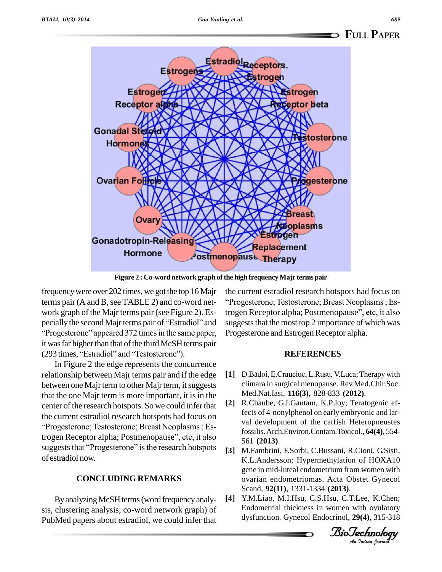

 ${\bf Figure~2: Co-word}$   ${\bf network~graph~of~the~high~frequency~Major~terms~pair}$ 

frequencywere over 202 times, we got the top 16 Majr terms pair (A and B, see TABLE 2) and co-word net-<br>"Progesterone; Testosterone; Breast Neoplasms; Eswork graph of the Majr terms pair (see Figure 2). Es- trog terms pair (A and B, see TABLE 2) and co-word net-<br>work graph of the Majr terms pair (see Figure 2). Es-<br>pecially the second Majr terms pair of "Estradiol" and sugges he Majr terms pair (see Figure 2). Es-<br>and Majr terms pair of "Estradiol" and su<br>appeared 372 times in the same paper. Pr it was far higher than that of the third MeSH terms pair "Progesterone" appeared 372 times in the same paper, it was far higher than that of the third MeSH terms pair (293 times, "Estradiol" and "Testosterone").

In Figure 2 the edge represents the concurrence relationship between Majr terms pair and if the edge between one Majrterm to other Majrterm, it suggests that the one Majr term is more important, it is in the center of the research hotspots. So we could infer that  $[2]$ center of the research hotspots. So we could infer that  $\qquad \qquad [2]$ the current estradiol research hotspots had focus on s. So we could infer that<br>a hotspots had focus on<br>Breast Neoplasms : Esthe current estradiol research hotspots had focus on<br>
"Progesterone; Testosterone; Breast Neoplasms ; Es-<br>
trogen Receptor alpha; Postmenopause", etc, it also "Progesterone; Testosterone; Breast Neoplasms; Es-<br>trogen Receptor alpha; Postmenopause", etc, it also<br>suggests that "Progesterone" is the research hotspots [3] of estradiol now.

## **CONCLUDING REMARKS**

ByanalyzingMeSHterms(word frequencyanaly sis, clustering analysis, co-word network graph) of PubMed papers about estradiol, we could infer that

the current estradiol research hotspots had focus on r<br>1 hotspots had focus on<br>Breast Neoplasms : Estrogen Receptor alpha; Postmenopause", etc, it also suggests that the most top 2 importance of which was Progesterone and Estrogen Receptor alpha.

#### **REFERENCES**

- [1] D.Bădoi, E.Crauciuc, L.Rusu, V.Luca; Therapy with climara in surgical menopause. Rev.Med.Chir.Soc. Med.Nat.Iasi, **116(3)**, 828-833 **(2012)**.
- **[2]** R.Chaube, G.J.Gautam, K.P.Joy; Teratogenic effects of 4-nonylphenol on early embryonic and lar val development of the catfish Heteropneustes fossilis.Arch.Environ.Contam.Toxicol., **64(4)**, 554- 561 **(2013)**.
- [3] M.Fambrini, F.Sorbi, C.Bussani, R.Cioni, G.Sisti,<br>*V.J. Andersson: Hypermethyletion* of HOVA10 *An*ovarian endometriomas. Acta Obstet Gynecol K.L.Andersson; Hypermethylation of HOXA10 gene in mid-luteal endometrium from women with Scand, **92(11)**, 1331-1334 **(2013)**.
- **[4]** Y.M.Liao, M.I.Hsu, C.S.Hsu, C.T.Lee, K.Chen; Endometrial thickness in women with ovulatory dysfunction. Gynecol Endocrinol, **29(4)**, 315-318

*Indian Journal*